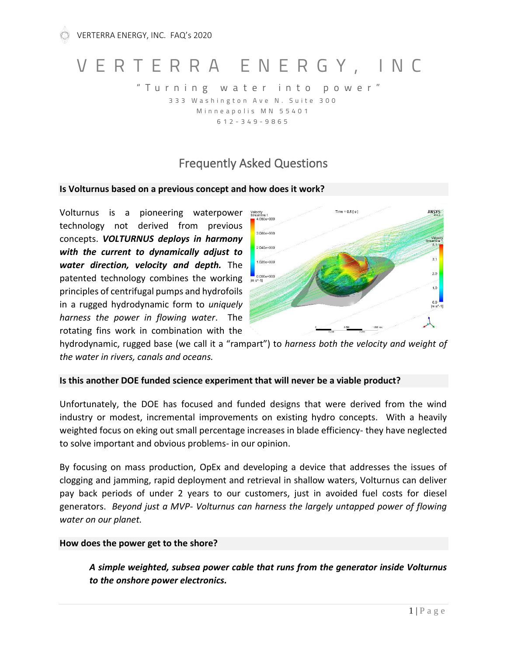# V E R T E R R A E N E R G Y , I N C

" T u r n i n g w a t e r i n t o p o w e r " 3 3 3 W a s h in g t on A v e N . Suite 3 0 0 Minneapolis MN 55401 6 1 2 - 3 4 9 - 9 8 6 5

# Frequently Asked Questions

#### **Is Volturnus based on a previous concept and how does it work?**

Volturnus is a pioneering waterpower technology not derived from previous concepts. *VOLTURNUS deploys in harmony with the current to dynamically adjust to water direction, velocity and depth.* The patented technology combines the working principles of centrifugal pumps and hydrofoils in a rugged hydrodynamic form to *uniquely harness the power in flowing water*. The rotating fins work in combination with the



hydrodynamic, rugged base (we call it a "rampart") to *harness both the velocity and weight of the water in rivers, canals and oceans.*

#### **Is this another DOE funded science experiment that will never be a viable product?**

Unfortunately, the DOE has focused and funded designs that were derived from the wind industry or modest, incremental improvements on existing hydro concepts. With a heavily weighted focus on eking out small percentage increases in blade efficiency- they have neglected to solve important and obvious problems- in our opinion.

By focusing on mass production, OpEx and developing a device that addresses the issues of clogging and jamming, rapid deployment and retrieval in shallow waters, Volturnus can deliver pay back periods of under 2 years to our customers, just in avoided fuel costs for diesel generators. *Beyond just a MVP- Volturnus can harness the largely untapped power of flowing water on our planet.*

#### **How does the power get to the shore?**

*A simple weighted, subsea power cable that runs from the generator inside Volturnus to the onshore power electronics.*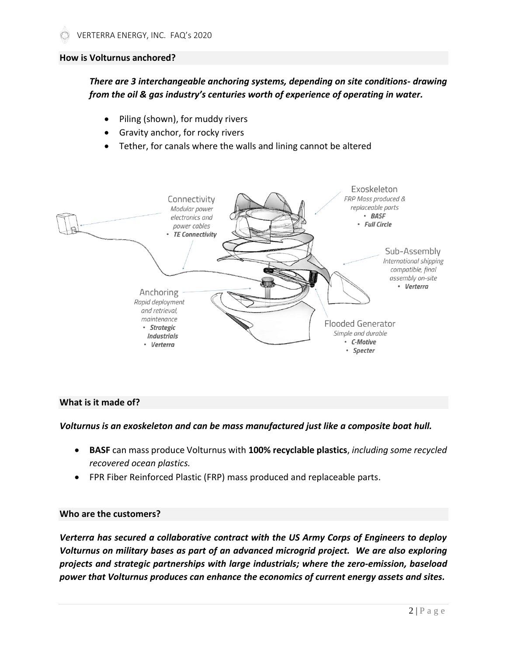#### **How is Volturnus anchored?**

*There are 3 interchangeable anchoring systems, depending on site conditions- drawing from the oil & gas industry's centuries worth of experience of operating in water.*

- Piling (shown), for muddy rivers
- Gravity anchor, for rocky rivers
- Tether, for canals where the walls and lining cannot be altered



#### **What is it made of?**

#### *Volturnus is an exoskeleton and can be mass manufactured just like a composite boat hull.*

- **BASF** can mass produce Volturnus with **100% recyclable plastics**, *including some recycled recovered ocean plastics.*
- FPR Fiber Reinforced Plastic (FRP) mass produced and replaceable parts.

#### **Who are the customers?**

*Verterra has secured a collaborative contract with the US Army Corps of Engineers to deploy Volturnus on military bases as part of an advanced microgrid project. We are also exploring projects and strategic partnerships with large industrials; where the zero-emission, baseload power that Volturnus produces can enhance the economics of current energy assets and sites.*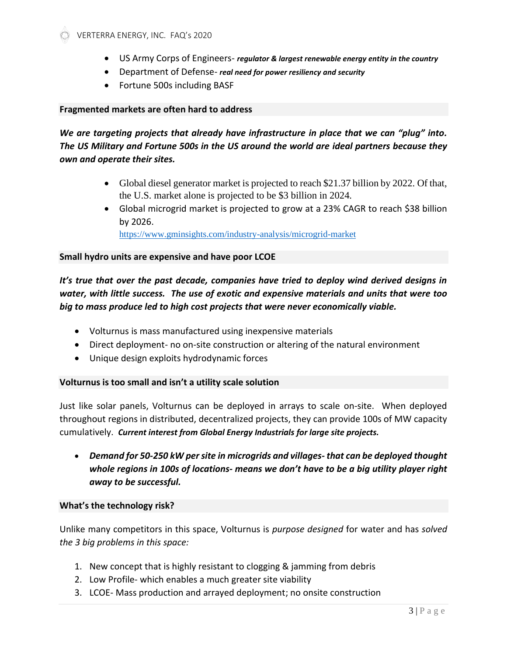- US Army Corps of Engineers- *regulator & largest renewable energy entity in the country*
- Department of Defense- *real need for power resiliency and security*
- Fortune 500s including BASF

#### **Fragmented markets are often hard to address**

## *We are targeting projects that already have infrastructure in place that we can "plug" into. The US Military and Fortune 500s in the US around the world are ideal partners because they own and operate their sites.*

- Global diesel generator market is projected to reach \$21.37 billion by 2022. Of that, the U.S. market alone is projected to be \$3 billion in 2024*.*
- Global microgrid market is projected to grow at a 23% CAGR to reach \$38 billion by 2026.

<https://www.gminsights.com/industry-analysis/microgrid-market>

#### **Small hydro units are expensive and have poor LCOE**

### *It's true that over the past decade, companies have tried to deploy wind derived designs in water, with little success. The use of exotic and expensive materials and units that were too big to mass produce led to high cost projects that were never economically viable.*

- Volturnus is mass manufactured using inexpensive materials
- Direct deployment- no on-site construction or altering of the natural environment
- Unique design exploits hydrodynamic forces

#### **Volturnus is too small and isn't a utility scale solution**

Just like solar panels, Volturnus can be deployed in arrays to scale on-site. When deployed throughout regions in distributed, decentralized projects, they can provide 100s of MW capacity cumulatively. *Current interest from Global Energy Industrials for large site projects.*

• *Demand for 50-250 kW per site in microgrids and villages- that can be deployed thought whole regions in 100s of locations- means we don't have to be a big utility player right away to be successful.*

#### **What's the technology risk?**

Unlike many competitors in this space, Volturnus is *purpose designed* for water and has *solved the 3 big problems in this space:*

- 1. New concept that is highly resistant to clogging & jamming from debris
- 2. Low Profile- which enables a much greater site viability
- 3. LCOE- Mass production and arrayed deployment; no onsite construction